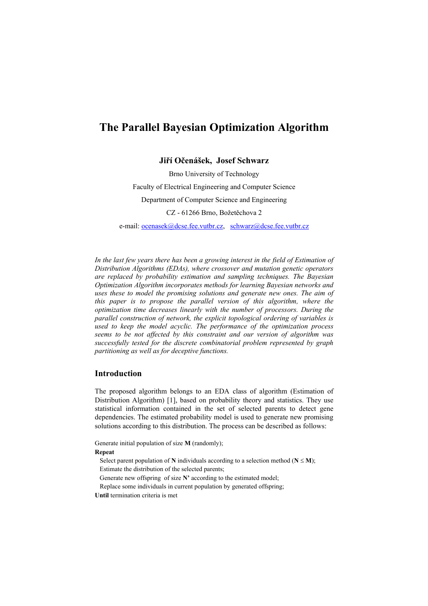# **The Parallel Bayesian Optimization Algorithm**

**Jiří Očenášek, Josef Schwarz** 

Brno University of Technology Faculty of Electrical Engineering and Computer Science Department of Computer Science and Engineering CZ - 61266 Brno, Božetěchova 2

e-mail: ocenasek@dcse.fee.vutbr.cz, schwarz@dcse.fee.vutbr.cz

*In the last few years there has been a growing interest in the field of Estimation of Distribution Algorithms (EDAs), where crossover and mutation genetic operators are replaced by probability estimation and sampling techniques. The Bayesian Optimization Algorithm incorporates methods for learning Bayesian networks and uses these to model the promising solutions and generate new ones. The aim of this paper is to propose the parallel version of this algorithm, where the optimization time decreases linearly with the number of processors. During the parallel construction of network, the explicit topological ordering of variables is used to keep the model acyclic. The performance of the optimization process seems to be not affected by this constraint and our version of algorithm was successfully tested for the discrete combinatorial problem represented by graph partitioning as well as for deceptive functions.* 

## **Introduction**

The proposed algorithm belongs to an EDA class of algorithm (Estimation of Distribution Algorithm) [1], based on probability theory and statistics. They use statistical information contained in the set of selected parents to detect gene dependencies. The estimated probability model is used to generate new promising solutions according to this distribution. The process can be described as follows:

Generate initial population of size **M** (randomly); **Repeat** 

Select parent population of **N** individuals according to a selection method ( $N \le M$ ); Estimate the distribution of the selected parents; Generate new offspring of size **N'** according to the estimated model; Replace some individuals in current population by generated offspring; **Until** termination criteria is met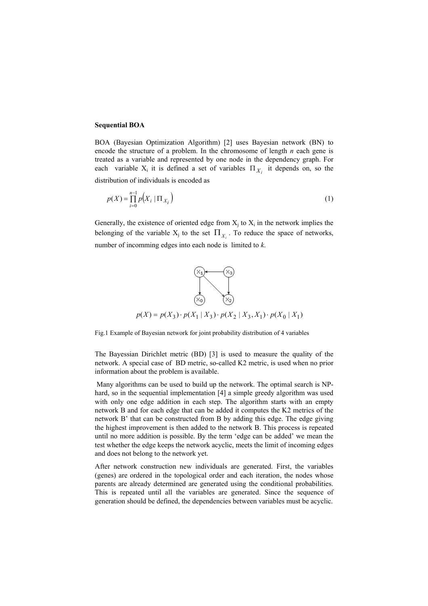### **Sequential BOA**

BOA (Bayesian Optimization Algorithm) [2] uses Bayesian network (BN) to encode the structure of a problem. In the chromosome of length *n* each gene is treated as a variable and represented by one node in the dependency graph. For each variable  $X_i$  it is defined a set of variables  $\Pi_{X_i}$  it depends on, so the

distribution of individuals is encoded as

$$
p(X) = \prod_{i=0}^{n-1} p(X_i | \Pi_{X_i})
$$
\n(1)

Generally, the existence of oriented edge from  $X_i$  to  $X_i$  in the network implies the belonging of the variable  $X_j$  to the set  $\Pi_{X_i}$ . To reduce the space of networks, number of incomming edges into each node is limited to *k*.



Fig.1 Example of Bayesian network for joint probability distribution of 4 variables

The Bayessian Dirichlet metric (BD) [3] is used to measure the quality of the network. A special case of BD metric, so-called K2 metric, is used when no prior information about the problem is available.

 Many algorithms can be used to build up the network. The optimal search is NPhard, so in the sequential implementation [4] a simple greedy algorithm was used with only one edge addition in each step. The algorithm starts with an empty network B and for each edge that can be added it computes the K2 metrics of the network B' that can be constructed from B by adding this edge. The edge giving the highest improvement is then added to the network B. This process is repeated until no more addition is possible. By the term 'edge can be added' we mean the test whether the edge keeps the network acyclic, meets the limit of incoming edges and does not belong to the network yet.

After network construction new individuals are generated. First, the variables (genes) are ordered in the topological order and each iteration, the nodes whose parents are already determined are generated using the conditional probabilities. This is repeated until all the variables are generated. Since the sequence of generation should be defined, the dependencies between variables must be acyclic.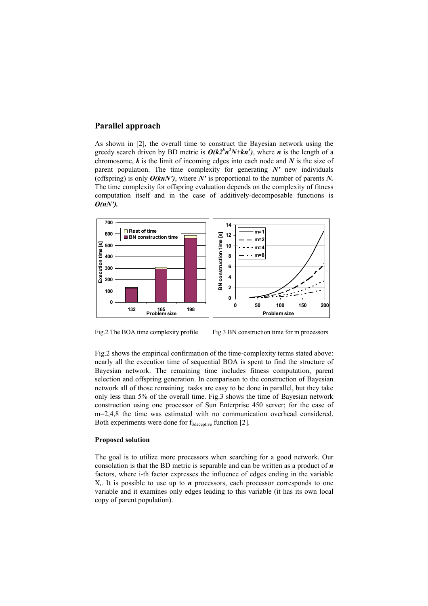# **Parallel approach**

As shown in [2], the overall time to construct the Bayesian network using the greedy search driven by BD metric is  $O(k2<sup>k</sup>n<sup>2</sup>N+kn<sup>3</sup>)$ , where *n* is the length of a chromosome, *k* is the limit of incoming edges into each node and *N* is the size of parent population. The time complexity for generating *N'* new individuals (offspring) is only *O(knN')*, where *N'* is proportional to the number of parents *N.* The time complexity for offspring evaluation depends on the complexity of fitness computation itself and in the case of additively-decomposable functions is *O(nN').* 



Fig.2 The BOA time complexity profile Fig.3 BN construction time for m processors

Fig.2 shows the empirical confirmation of the time-complexity terms stated above: nearly all the execution time of sequential BOA is spent to find the structure of Bayesian network. The remaining time includes fitness computation, parent selection and offspring generation. In comparison to the construction of Bayesian network all of those remaining tasks are easy to be done in parallel, but they take only less than 5% of the overall time. Fig.3 shows the time of Bayesian network construction using one processor of Sun Enterprise 450 server; for the case of m=2,4,8 the time was estimated with no communication overhead considered. Both experiments were done for  $f_{3\text{decentive}}$  function [2].

#### **Proposed solution**

The goal is to utilize more processors when searching for a good network. Our consolation is that the BD metric is separable and can be written as a product of *n* factors, where i-th factor expresses the influence of edges ending in the variable  $X_i$ . It is possible to use up to  $n$  processors, each processor corresponds to one variable and it examines only edges leading to this variable (it has its own local copy of parent population).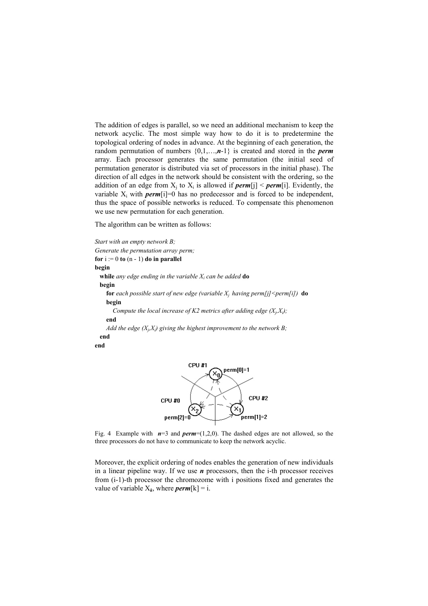The addition of edges is parallel, so we need an additional mechanism to keep the network acyclic. The most simple way how to do it is to predetermine the topological ordering of nodes in advance. At the beginning of each generation, the random permutation of numbers {0,1,…,*n*-1} is created and stored in the *perm* array. Each processor generates the same permutation (the initial seed of permutation generator is distributed via set of processors in the initial phase). The direction of all edges in the network should be consistent with the ordering, so the addition of an edge from  $X_i$  to  $X_i$  is allowed if *perm*[j] < *perm*[i]. Evidently, the variable  $X_i$  with *perm*[i]=0 has no predecessor and is forced to be independent, thus the space of possible networks is reduced. To compensate this phenomenon we use new permutation for each generation.

The algorithm can be written as follows:

*Start with an empty network B; Generate the permutation array perm;*  **for**  $i := 0$  **to**  $(n - 1)$  **do in parallel begin while** *any edge ending in the variable Xi can be added* **do begin for** each possible start of new edge (variable  $X_i$  having perm[j] <perm[i]) **do begin**  Compute the local increase of K2 metrics after adding edge  $(X_i, X_j)$ ;  **end**  *Add the edge*  $(X_i, X_j)$  *giving the highest improvement to the network B;*  **end end** 



Fig. 4 Example with  $n=3$  and  $perm=(1,2,0)$ . The dashed edges are not allowed, so the three processors do not have to communicate to keep the network acyclic.

Moreover, the explicit ordering of nodes enables the generation of new individuals in a linear pipeline way. If we use *n* processors, then the i-th processor receives from (i-1)-th processor the chromozome with i positions fixed and generates the value of variable  $X_k$ , where *perm*[k] = i.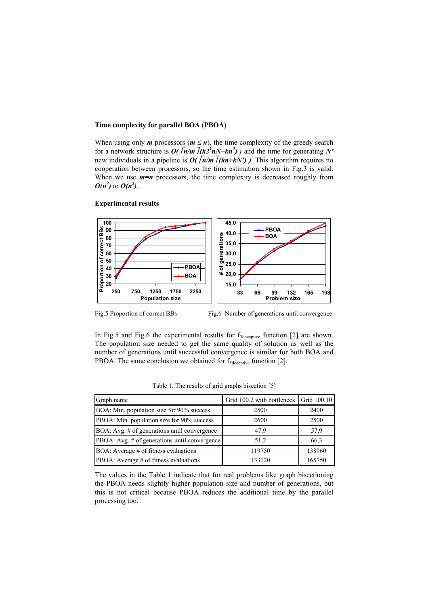### **Time complexity for parallel BOA (PBOA)**

When using only *m* processors ( $m \le n$ ), the time complexity of the greedy search for a network structure is  $O(\sqrt{n/m} \sqrt{ (k2^k n N + kn^2)})$  and the time for generating N' new individuals in a pipeline is  $O(\sqrt{n/m} / (kn + kN))$ . This algorithm requires no cooperation between processors, so the time estimation shown in Fig.3 is valid. When we use  $m=n$  processors, the time complexity is decreased roughly from  $O(n^3)$  to  $O(n^2)$ .

#### **Experimental results**



Fig.5 Proportion of correct BBs Fig.6 Number of generations until convergence

In Fig.5 and Fig.6 the experimental results for  $f_{3\text{deceptive}}$  function [2] are shown. The population size needed to get the same quality of solution as well as the number of generations until successful convergence is similar for both BOA and PBOA. The same conclusion we obtained for  $f_{Sdecentive}$  function [2].

| Graph name                                    | Grid 100.2 with bottleneck Grid 100.10 |        |
|-----------------------------------------------|----------------------------------------|--------|
| BOA: Min. population size for 90% success     | 2500                                   | 2400   |
| PBOA: Min. population size for 90% success    | 2600                                   | 2500   |
| BOA: Avg. # of generations until convergence  | 47,9                                   | 57,9   |
| PBOA: Avg. # of generations until convergence | 51,2                                   | 66,3   |
| BOA: Average $#$ of fitness evaluations       | 119750                                 | 138960 |
| PBOA: Average # of fitness evaluations        | 133120                                 | 165750 |

Table 1. The results of grid graphs bisection [5]

The values in the Table 1 indicate that for real problems like graph bisectioning the PBOA needs slightly higher population size and number of generations, but this is not critical because PBOA reduces the additional time by the parallel processing too.